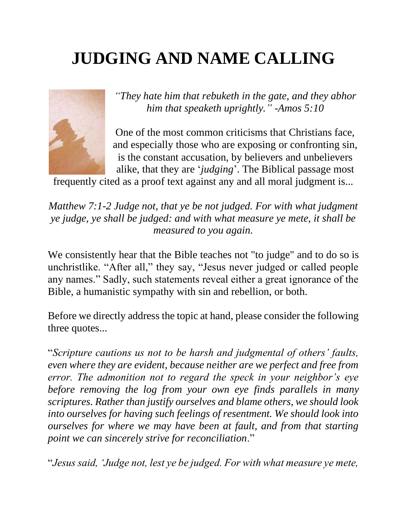# **JUDGING AND NAME CALLING**



*"They hate him that rebuketh in the gate, and they abhor him that speaketh uprightly." -Amos 5:10*

One of the most common criticisms that Christians face, and especially those who are exposing or confronting sin, is the constant accusation, by believers and unbelievers alike, that they are '*judging*'. The Biblical passage most

frequently cited as a proof text against any and all moral judgment is...

*Matthew 7:1-2 Judge not, that ye be not judged. For with what judgment ye judge, ye shall be judged: and with what measure ye mete, it shall be measured to you again.*

We consistently hear that the Bible teaches not "to judge" and to do so is unchristlike. "After all," they say, "Jesus never judged or called people any names." Sadly, such statements reveal either a great ignorance of the Bible, a humanistic sympathy with sin and rebellion, or both.

Before we directly address the topic at hand, please consider the following three quotes...

"*Scripture cautions us not to be harsh and judgmental of others' faults, even where they are evident, because neither are we perfect and free from error. The admonition not to regard the speck in your neighbor's eye before removing the log from your own eye finds parallels in many scriptures. Rather than justify ourselves and blame others, we should look into ourselves for having such feelings of resentment. We should look into ourselves for where we may have been at fault, and from that starting point we can sincerely strive for reconciliation*."

"*Jesus said, 'Judge not, lest ye be judged. For with what measure ye mete,*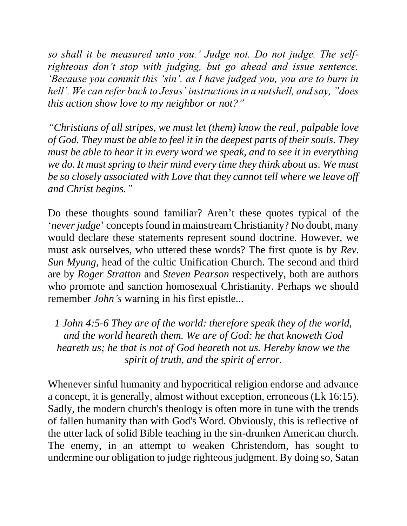*so shall it be measured unto you.' Judge not. Do not judge. The selfrighteous don't stop with judging, but go ahead and issue sentence. 'Because you commit this 'sin', as I have judged you, you are to burn in hell'. We can refer back to Jesus' instructions in a nutshell, and say, "does this action show love to my neighbor or not?"*

*"Christians of all stripes, we must let (them) know the real, palpable love of God. They must be able to feel it in the deepest parts of their souls. They must be able to hear it in every word we speak, and to see it in everything we do. It must spring to their mind every time they think about us. We must be so closely associated with Love that they cannot tell where we leave off and Christ begins."*

Do these thoughts sound familiar? Aren't these quotes typical of the '*never judge*' concepts found in mainstream Christianity? No doubt, many would declare these statements represent sound doctrine. However, we must ask ourselves, who uttered these words? The first quote is by *Rev. Sun Myung*, head of the cultic Unification Church. The second and third are by *Roger Stratton* and *Steven Pearson* respectively, both are authors who promote and sanction homosexual Christianity. Perhaps we should remember *John's* warning in his first epistle...

*1 John 4:5-6 They are of the world: therefore speak they of the world, and the world heareth them. We are of God: he that knoweth God heareth us; he that is not of God heareth not us. Hereby know we the spirit of truth, and the spirit of error.*

Whenever sinful humanity and hypocritical religion endorse and advance a concept, it is generally, almost without exception, erroneous (Lk 16:15). Sadly, the modern church's theology is often more in tune with the trends of fallen humanity than with God's Word. Obviously, this is reflective of the utter lack of solid Bible teaching in the sin-drunken American church. The enemy, in an attempt to weaken Christendom, has sought to undermine our obligation to judge righteous judgment. By doing so, Satan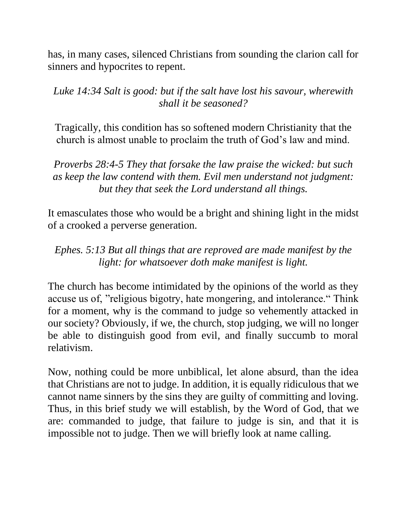has, in many cases, silenced Christians from sounding the clarion call for sinners and hypocrites to repent.

# *Luke 14:34 Salt is good: but if the salt have lost his savour, wherewith shall it be seasoned?*

Tragically, this condition has so softened modern Christianity that the church is almost unable to proclaim the truth of God's law and mind.

*Proverbs 28:4-5 They that forsake the law praise the wicked: but such as keep the law contend with them. Evil men understand not judgment: but they that seek the Lord understand all things.* 

It emasculates those who would be a bright and shining light in the midst of a crooked a perverse generation.

*Ephes. 5:13 But all things that are reproved are made manifest by the light: for whatsoever doth make manifest is light.*

The church has become intimidated by the opinions of the world as they accuse us of, "religious bigotry, hate mongering, and intolerance." Think for a moment, why is the command to judge so vehemently attacked in our society? Obviously, if we, the church, stop judging, we will no longer be able to distinguish good from evil, and finally succumb to moral relativism.

Now, nothing could be more unbiblical, let alone absurd, than the idea that Christians are not to judge. In addition, it is equally ridiculous that we cannot name sinners by the sins they are guilty of committing and loving. Thus, in this brief study we will establish, by the Word of God, that we are: commanded to judge, that failure to judge is sin, and that it is impossible not to judge. Then we will briefly look at name calling.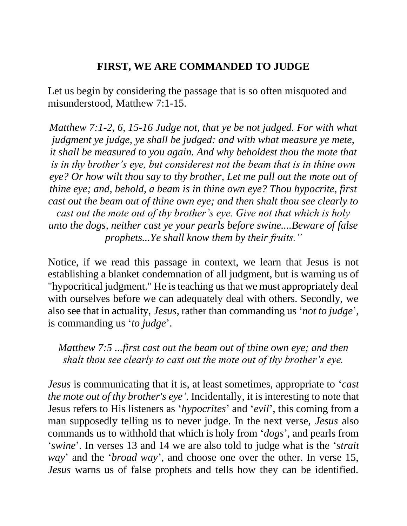### **FIRST, WE ARE COMMANDED TO JUDGE**

Let us begin by considering the passage that is so often misquoted and misunderstood, Matthew 7:1-15.

*Matthew 7:1-2, 6, 15-16 Judge not, that ye be not judged. For with what judgment ye judge, ye shall be judged: and with what measure ye mete, it shall be measured to you again. And why beholdest thou the mote that is in thy brother's eye, but considerest not the beam that is in thine own eye? Or how wilt thou say to thy brother, Let me pull out the mote out of thine eye; and, behold, a beam is in thine own eye? Thou hypocrite, first cast out the beam out of thine own eye; and then shalt thou see clearly to cast out the mote out of thy brother's eye. Give not that which is holy unto the dogs, neither cast ye your pearls before swine....Beware of false prophets...Ye shall know them by their fruits."*

Notice, if we read this passage in context, we learn that Jesus is not establishing a blanket condemnation of all judgment, but is warning us of "hypocritical judgment." He is teaching us that we must appropriately deal with ourselves before we can adequately deal with others. Secondly, we also see that in actuality, *Jesus*, rather than commanding us '*not to judge*', is commanding us '*to judge*'.

*Matthew 7:5 ...first cast out the beam out of thine own eye; and then shalt thou see clearly to cast out the mote out of thy brother's eye.*

*Jesus* is communicating that it is, at least sometimes, appropriate to '*cast the mote out of thy brother's eye'*. Incidentally, it is interesting to note that Jesus refers to His listeners as '*hypocrites*' and '*evil*', this coming from a man supposedly telling us to never judge. In the next verse, *Jesus* also commands us to withhold that which is holy from '*dogs*', and pearls from '*swine*'. In verses 13 and 14 we are also told to judge what is the '*strait way*' and the '*broad way*', and choose one over the other. In verse 15, *Jesus* warns us of false prophets and tells how they can be identified.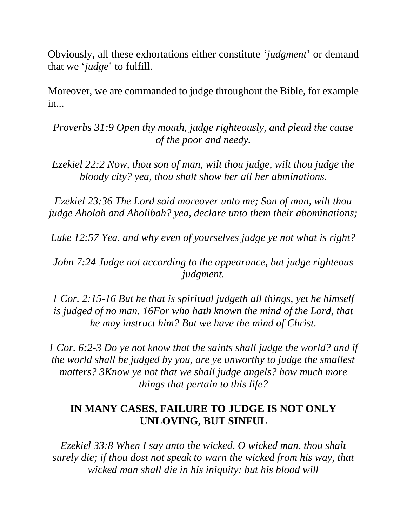Obviously, all these exhortations either constitute '*judgment*' or demand that we '*judge*' to fulfill.

Moreover, we are commanded to judge throughout the Bible, for example in...

*Proverbs 31:9 Open thy mouth, judge righteously, and plead the cause of the poor and needy.* 

*Ezekiel 22:2 Now, thou son of man, wilt thou judge, wilt thou judge the bloody city? yea, thou shalt show her all her abminations.*

*Ezekiel 23:36 The Lord said moreover unto me; Son of man, wilt thou judge Aholah and Aholibah? yea, declare unto them their abominations;* 

*Luke 12:57 Yea, and why even of yourselves judge ye not what is right?* 

*John 7:24 Judge not according to the appearance, but judge righteous judgment.* 

*1 Cor. 2:15-16 But he that is spiritual judgeth all things, yet he himself is judged of no man. 16For who hath known the mind of the Lord, that he may instruct him? But we have the mind of Christ.* 

*1 Cor. 6:2-3 Do ye not know that the saints shall judge the world? and if the world shall be judged by you, are ye unworthy to judge the smallest matters? 3Know ye not that we shall judge angels? how much more things that pertain to this life?* 

### **IN MANY CASES, FAILURE TO JUDGE IS NOT ONLY UNLOVING, BUT SINFUL**

*Ezekiel 33:8 When I say unto the wicked, O wicked man, thou shalt surely die; if thou dost not speak to warn the wicked from his way, that wicked man shall die in his iniquity; but his blood will*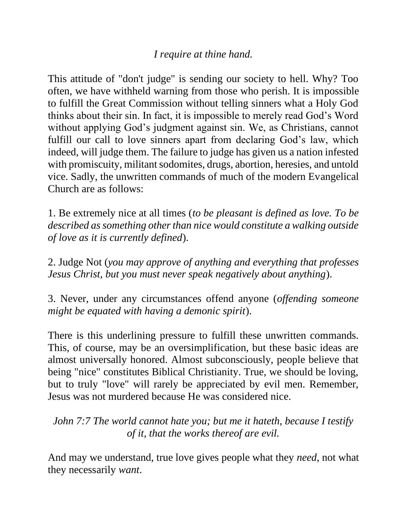#### *I require at thine hand.*

This attitude of "don't judge" is sending our society to hell. Why? Too often, we have withheld warning from those who perish. It is impossible to fulfill the Great Commission without telling sinners what a Holy God thinks about their sin. In fact, it is impossible to merely read God's Word without applying God's judgment against sin. We, as Christians, cannot fulfill our call to love sinners apart from declaring God's law, which indeed, will judge them. The failure to judge has given us a nation infested with promiscuity, militant sodomites, drugs, abortion, heresies, and untold vice. Sadly, the unwritten commands of much of the modern Evangelical Church are as follows:

1. Be extremely nice at all times (*to be pleasant is defined as love. To be described as something other than nice would constitute a walking outside of love as it is currently defined*).

2. Judge Not (*you may approve of anything and everything that professes Jesus Christ, but you must never speak negatively about anything*).

3. Never, under any circumstances offend anyone (*offending someone might be equated with having a demonic spirit*).

There is this underlining pressure to fulfill these unwritten commands. This, of course, may be an oversimplification, but these basic ideas are almost universally honored. Almost subconsciously, people believe that being "nice" constitutes Biblical Christianity. True, we should be loving, but to truly "love" will rarely be appreciated by evil men. Remember, Jesus was not murdered because He was considered nice.

# *John 7:7 The world cannot hate you; but me it hateth, because I testify of it, that the works thereof are evil.*

And may we understand, true love gives people what they *need*, not what they necessarily *want*.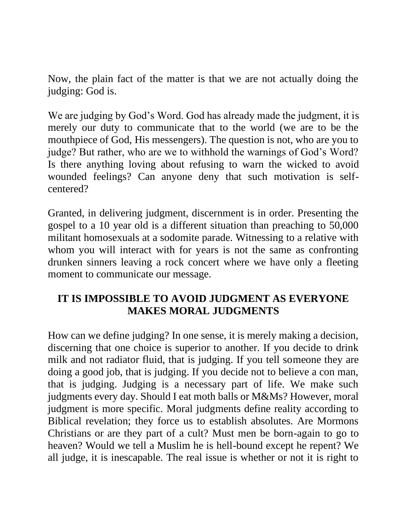Now, the plain fact of the matter is that we are not actually doing the judging: God is.

We are judging by God's Word. God has already made the judgment, it is merely our duty to communicate that to the world (we are to be the mouthpiece of God, His messengers). The question is not, who are you to judge? But rather, who are we to withhold the warnings of God's Word? Is there anything loving about refusing to warn the wicked to avoid wounded feelings? Can anyone deny that such motivation is selfcentered?

Granted, in delivering judgment, discernment is in order. Presenting the gospel to a 10 year old is a different situation than preaching to 50,000 militant homosexuals at a sodomite parade. Witnessing to a relative with whom you will interact with for years is not the same as confronting drunken sinners leaving a rock concert where we have only a fleeting moment to communicate our message.

# **IT IS IMPOSSIBLE TO AVOID JUDGMENT AS EVERYONE MAKES MORAL JUDGMENTS**

How can we define judging? In one sense, it is merely making a decision, discerning that one choice is superior to another. If you decide to drink milk and not radiator fluid, that is judging. If you tell someone they are doing a good job, that is judging. If you decide not to believe a con man, that is judging. Judging is a necessary part of life. We make such judgments every day. Should I eat moth balls or M&Ms? However, moral judgment is more specific. Moral judgments define reality according to Biblical revelation; they force us to establish absolutes. Are Mormons Christians or are they part of a cult? Must men be born-again to go to heaven? Would we tell a Muslim he is hell-bound except he repent? We all judge, it is inescapable. The real issue is whether or not it is right to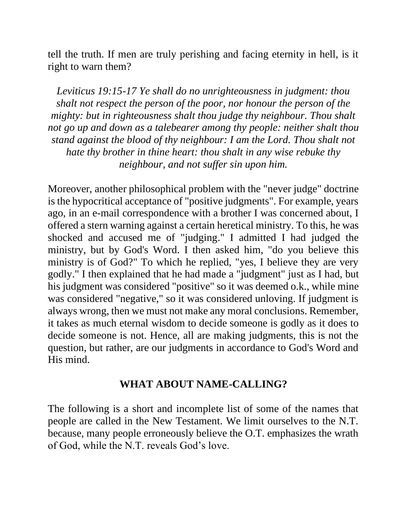tell the truth. If men are truly perishing and facing eternity in hell, is it right to warn them?

*Leviticus 19:15-17 Ye shall do no unrighteousness in judgment: thou shalt not respect the person of the poor, nor honour the person of the mighty: but in righteousness shalt thou judge thy neighbour. Thou shalt not go up and down as a talebearer among thy people: neither shalt thou stand against the blood of thy neighbour: I am the Lord. Thou shalt not hate thy brother in thine heart: thou shalt in any wise rebuke thy neighbour, and not suffer sin upon him.* 

Moreover, another philosophical problem with the "never judge" doctrine is the hypocritical acceptance of "positive judgments". For example, years ago, in an e-mail correspondence with a brother I was concerned about, I offered a stern warning against a certain heretical ministry. To this, he was shocked and accused me of "judging." I admitted I had judged the ministry, but by God's Word. I then asked him, "do you believe this ministry is of God?" To which he replied, "yes, I believe they are very godly." I then explained that he had made a "judgment" just as I had, but his judgment was considered "positive" so it was deemed o.k., while mine was considered "negative," so it was considered unloving. If judgment is always wrong, then we must not make any moral conclusions. Remember, it takes as much eternal wisdom to decide someone is godly as it does to decide someone is not. Hence, all are making judgments, this is not the question, but rather, are our judgments in accordance to God's Word and His mind.

#### **WHAT ABOUT NAME-CALLING?**

The following is a short and incomplete list of some of the names that people are called in the New Testament. We limit ourselves to the N.T. because, many people erroneously believe the O.T. emphasizes the wrath of God, while the N.T. reveals God's love.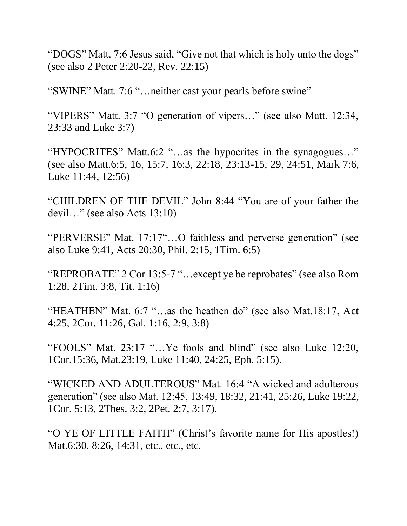"DOGS" Matt. 7:6 Jesus said, "Give not that which is holy unto the dogs" (see also 2 Peter 2:20-22, Rev. 22:15)

"SWINE" Matt. 7:6 "…neither cast your pearls before swine"

"VIPERS" Matt. 3:7 "O generation of vipers…" (see also Matt. 12:34, 23:33 and Luke 3:7)

"HYPOCRITES" Matt.6:2 "…as the hypocrites in the synagogues…" (see also Matt.6:5, 16, 15:7, 16:3, 22:18, 23:13-15, 29, 24:51, Mark 7:6, Luke 11:44, 12:56)

"CHILDREN OF THE DEVIL" John 8:44 "You are of your father the devil…" (see also Acts 13:10)

"PERVERSE" Mat. 17:17"…O faithless and perverse generation" (see also Luke 9:41, Acts 20:30, Phil. 2:15, 1Tim. 6:5)

"REPROBATE" 2 Cor 13:5-7 "…except ye be reprobates" (see also Rom 1:28, 2Tim. 3:8, Tit. 1:16)

"HEATHEN" Mat. 6:7 "…as the heathen do" (see also Mat.18:17, Act 4:25, 2Cor. 11:26, Gal. 1:16, 2:9, 3:8)

"FOOLS" Mat. 23:17 "…Ye fools and blind" (see also Luke 12:20, 1Cor.15:36, Mat.23:19, Luke 11:40, 24:25, Eph. 5:15).

"WICKED AND ADULTEROUS" Mat. 16:4 "A wicked and adulterous generation" (see also Mat. 12:45, 13:49, 18:32, 21:41, 25:26, Luke 19:22, 1Cor. 5:13, 2Thes. 3:2, 2Pet. 2:7, 3:17).

"O YE OF LITTLE FAITH" (Christ's favorite name for His apostles!) Mat.6:30, 8:26, 14:31, etc., etc., etc.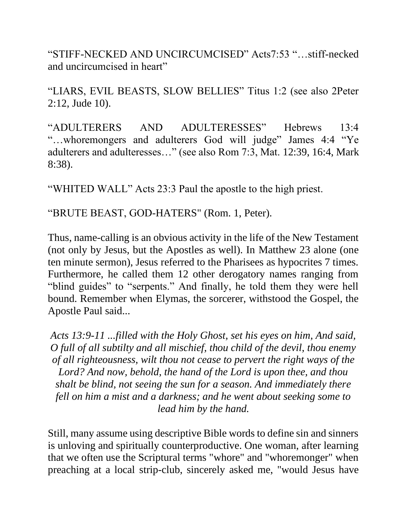"STIFF-NECKED AND UNCIRCUMCISED" Acts7:53 "…stiff-necked and uncircumcised in heart"

"LIARS, EVIL BEASTS, SLOW BELLIES" Titus 1:2 (see also 2Peter 2:12, Jude 10).

"ADULTERERS AND ADULTERESSES" Hebrews 13:4 "…whoremongers and adulterers God will judge" James 4:4 "Ye adulterers and adulteresses…" (see also Rom 7:3, Mat. 12:39, 16:4, Mark 8:38).

"WHITED WALL" Acts 23:3 Paul the apostle to the high priest.

"BRUTE BEAST, GOD-HATERS" (Rom. 1, Peter).

Thus, name-calling is an obvious activity in the life of the New Testament (not only by Jesus, but the Apostles as well). In Matthew 23 alone (one ten minute sermon), Jesus referred to the Pharisees as hypocrites 7 times. Furthermore, he called them 12 other derogatory names ranging from "blind guides" to "serpents." And finally, he told them they were hell bound. Remember when Elymas, the sorcerer, withstood the Gospel, the Apostle Paul said...

*Acts 13:9-11 ...filled with the Holy Ghost, set his eyes on him, And said, O full of all subtilty and all mischief, thou child of the devil, thou enemy of all righteousness, wilt thou not cease to pervert the right ways of the Lord? And now, behold, the hand of the Lord is upon thee, and thou shalt be blind, not seeing the sun for a season. And immediately there fell on him a mist and a darkness; and he went about seeking some to lead him by the hand.* 

Still, many assume using descriptive Bible words to define sin and sinners is unloving and spiritually counterproductive. One woman, after learning that we often use the Scriptural terms "whore" and "whoremonger" when preaching at a local strip-club, sincerely asked me, "would Jesus have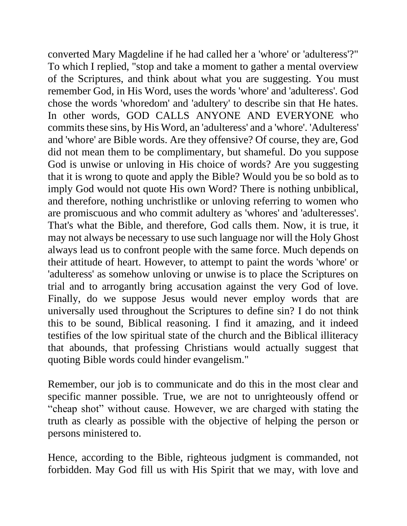converted Mary Magdeline if he had called her a 'whore' or 'adulteress'?" To which I replied, "stop and take a moment to gather a mental overview of the Scriptures, and think about what you are suggesting. You must remember God, in His Word, uses the words 'whore' and 'adulteress'. God chose the words 'whoredom' and 'adultery' to describe sin that He hates. In other words, GOD CALLS ANYONE AND EVERYONE who commits these sins, by His Word, an 'adulteress' and a 'whore'. 'Adulteress' and 'whore' are Bible words. Are they offensive? Of course, they are, God did not mean them to be complimentary, but shameful. Do you suppose God is unwise or unloving in His choice of words? Are you suggesting that it is wrong to quote and apply the Bible? Would you be so bold as to imply God would not quote His own Word? There is nothing unbiblical, and therefore, nothing unchristlike or unloving referring to women who are promiscuous and who commit adultery as 'whores' and 'adulteresses'. That's what the Bible, and therefore, God calls them. Now, it is true, it may not always be necessary to use such language nor will the Holy Ghost always lead us to confront people with the same force. Much depends on their attitude of heart. However, to attempt to paint the words 'whore' or 'adulteress' as somehow unloving or unwise is to place the Scriptures on trial and to arrogantly bring accusation against the very God of love. Finally, do we suppose Jesus would never employ words that are universally used throughout the Scriptures to define sin? I do not think this to be sound, Biblical reasoning. I find it amazing, and it indeed testifies of the low spiritual state of the church and the Biblical illiteracy that abounds, that professing Christians would actually suggest that quoting Bible words could hinder evangelism."

Remember, our job is to communicate and do this in the most clear and specific manner possible. True, we are not to unrighteously offend or "cheap shot" without cause. However, we are charged with stating the truth as clearly as possible with the objective of helping the person or persons ministered to.

Hence, according to the Bible, righteous judgment is commanded, not forbidden. May God fill us with His Spirit that we may, with love and